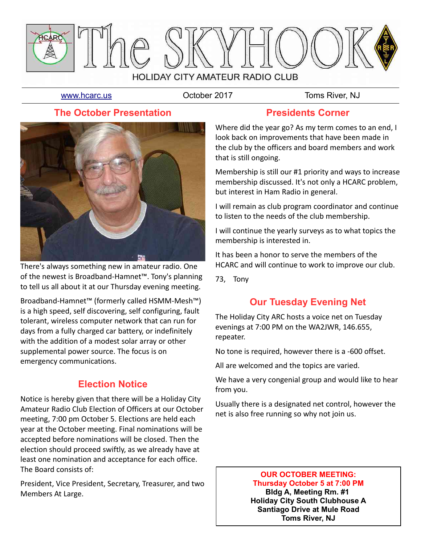

[www.hcarc.us](http://www.hcarc.us/) **Colober 2017** Toms River, NJ

### **The October Presentation**



There's always something new in amateur radio. One of the newest is Broadband-Hamnet™. Tony's planning to tell us all about it at our Thursday evening meeting.

Broadband-Hamnet™ (formerly called HSMM-Mesh™) is a high speed, self discovering, self configuring, fault tolerant, wireless computer network that can run for days from a fully charged car battery, or indefinitely with the addition of a modest solar array or other supplemental power source. The focus is on emergency communications.

# **Election Notice**

Notice is hereby given that there will be a Holiday City Amateur Radio Club Election of Officers at our October meeting, 7:00 pm October 5. Elections are held each year at the October meeting. Final nominations will be accepted before nominations will be closed. Then the election should proceed swiftly, as we already have at least one nomination and acceptance for each office. The Board consists of:

President, Vice President, Secretary, Treasurer, and two Members At Large.

### **Presidents Corner**

Where did the year go? As my term comes to an end, I look back on improvements that have been made in the club by the officers and board members and work that is still ongoing.

Membership is still our #1 priority and ways to increase membership discussed. It's not only a HCARC problem, but interest in Ham Radio in general.

I will remain as club program coordinator and continue to listen to the needs of the club membership.

I will continue the yearly surveys as to what topics the membership is interested in.

It has been a honor to serve the members of the HCARC and will continue to work to improve our club.

73, Tony

### **Our Tuesday Evening Net**

The Holiday City ARC hosts a voice net on Tuesday evenings at 7:00 PM on the WA2JWR, 146.655, repeater.

No tone is required, however there is a -600 offset.

All are welcomed and the topics are varied.

We have a very congenial group and would like to hear from you.

Usually there is a designated net control, however the net is also free running so why not join us.

#### **OUR OCTOBER MEETING: Thursday October 5 at 7:00 PM Bldg A, Meeting Rm. #1 Holiday City South Clubhouse A Santiago Drive at Mule Road Toms River, NJ**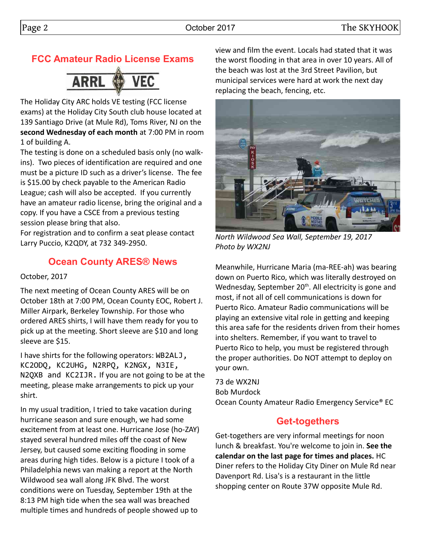# **FCC Amateur Radio License Exams**



The Holiday City ARC holds VE testing (FCC license exams) at the Holiday City South club house located at 139 Santiago Drive (at Mule Rd), Toms River, NJ on the **second Wednesday of each month** at 7:00 PM in room 1 of building A.

The testing is done on a scheduled basis only (no walkins). Two pieces of identification are required and one must be a picture ID such as a driver's license. The fee is \$15.00 by check payable to the American Radio League; cash will also be accepted. If you currently have an amateur radio license, bring the original and a copy. If you have a CSCE from a previous testing session please bring that also.

For registration and to confirm a seat please contact Larry Puccio, K2QDY, at 732 349-2950.

### **Ocean County ARES® News**

October, 2017

The next meeting of Ocean County ARES will be on October 18th at 7:00 PM, Ocean County EOC, Robert J. Miller Airpark, Berkeley Township. For those who ordered ARES shirts, I will have them ready for you to pick up at the meeting. Short sleeve are \$10 and long sleeve are \$15.

I have shirts for the following operators: WB2ALJ, KC2ODQ, KC2UHG, N2RPQ, K2NGX, N3IE, N2QXB and KC2IJR. If you are not going to be at the meeting, please make arrangements to pick up your shirt.

In my usual tradition, I tried to take vacation during hurricane season and sure enough, we had some excitement from at least one. Hurricane Jose (ho-ZAY) stayed several hundred miles off the coast of New Jersey, but caused some exciting flooding in some areas during high tides. Below is a picture I took of a Philadelphia news van making a report at the North Wildwood sea wall along JFK Blvd. The worst conditions were on Tuesday, September 19th at the 8:13 PM high tide when the sea wall was breached multiple times and hundreds of people showed up to

view and film the event. Locals had stated that it was the worst flooding in that area in over 10 years. All of the beach was lost at the 3rd Street Pavilion, but municipal services were hard at work the next day replacing the beach, fencing, etc.



*North Wildwood Sea Wall, September 19, 2017 Photo by WX2NJ*

Meanwhile, Hurricane Maria (ma-REE-ah) was bearing down on Puerto Rico, which was literally destroyed on Wednesday, September 20<sup>th</sup>. All electricity is gone and most, if not all of cell communications is down for Puerto Rico. Amateur Radio communications will be playing an extensive vital role in getting and keeping this area safe for the residents driven from their homes into shelters. Remember, if you want to travel to Puerto Rico to help, you must be registered through the proper authorities. Do NOT attempt to deploy on your own.

73 de WX2NJ Bob Murdock Ocean County Amateur Radio Emergency Service® EC

### **Get-togethers**

Get-togethers are very informal meetings for noon lunch & breakfast. You're welcome to join in. **See the calendar on the last page for times and places.** HC Diner refers to the Holiday City Diner on Mule Rd near Davenport Rd. Lisa's is a restaurant in the little shopping center on Route 37W opposite Mule Rd.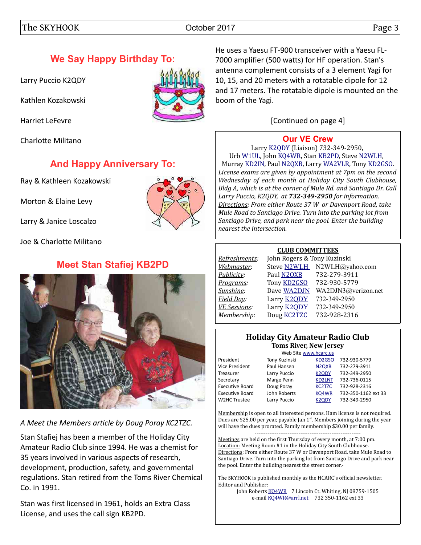# **We Say Happy Birthday To:**

Larry Puccio K2QDY

Kathlen Kozakowski

Harriet LeFevre

Charlotte Militano

### **And Happy Anniversary To:**

Ray & Kathleen Kozakowski

Morton & Elaine Levy

Larry & Janice Loscalzo

Joe & Charlotte Militano

# **Meet Stan Stafiej KB2PD**



*A Meet the Members article by Doug Poray KC2TZC.*

Stan Stafiej has been a member of the Holiday City Amateur Radio Club since 1994. He was a chemist for 35 years involved in various aspects of research, development, production, safety, and governmental regulations. Stan retired from the Toms River Chemical Co. in 1991.

Stan was first licensed in 1961, holds an Extra Class License, and uses the call sign KB2PD.

He uses a Yaesu FT-900 transceiver with a Yaesu FL-7000 amplifier (500 watts) for HF operation. Stan's antenna complement consists of a 3 element Yagi for 10, 15, and 20 meters with a rotatable dipole for 12 and 17 meters. The rotatable dipole is mounted on the boom of the Yagi.

[Continued on page 4]

### **[Our VE Crew](mailto:lpuccio1@comcast.net?subject=VE)**

Larry [K2QDY](mailto:lpuccio1@comcast.net) (Liaison) 732-349-2950, Urb [W1UL,](mailto:urb@W1UL.com) John [KQ4WR,](mailto:kq4wr@arrl.net) Stan [KB2PD,](mailto:kb2pd@hotmail.com) Steve [N2WLH,](mailto:n2wlh@yahoo.com) Murray [KD2IN,](mailto:murraykd2in@comcast.net) Paul [N2QXB,](mailto:n2qxb@juno.com) Larry [WA2VLR,](mailto:lloscalz@optonline.net) Tony [KD2GSO.](mailto:tonyk613@comcast.net) *License exams are given by appointment at 7pm on the second Wednesday of each month at Holiday City South Clubhouse, Bldg A, which is at the corner of Mule Rd. and Santiago Dr. Call Larry Puccio, K2QDY, at 732-349-2950 for information. Directions: From either Route 37 W or Davenport Road, take Mule Road to Santiago Drive. Turn into the parking lot from Santiago Drive, and park near the pool. Enter the building nearest the intersection.*

#### **CLUB COMMITTEES**

| Refreshments:       | John Rogers & Tony Kuzinski |                             |
|---------------------|-----------------------------|-----------------------------|
| Webmaster:          |                             | Steve N2WLH N2WLH@yahoo.com |
| Publicity:          | Paul N2QXB                  | 732-279-3911                |
| Programs:           | Tony <b>KD2GSO</b>          | 732-930-5779                |
| Sunshine:           | Dave WA2DJN                 | WA2DJN3@verizon.net         |
| Field Day:          | Larry <b>K2QDY</b>          | 732-349-2950                |
| <b>VE Sessions:</b> | Larry <b>K2ODY</b>          | 732-349-2950                |
| Membership:         | Doug <b>KC2TZC</b>          | 732-928-2316                |
|                     |                             |                             |

#### **Holiday City Amateur Radio Club Toms River, New Jersey**

|                        | Web Site www.hcarc.us |                                |                     |  |  |
|------------------------|-----------------------|--------------------------------|---------------------|--|--|
| President              | Tony Kuzinski         | KD <sub>2</sub> GSO            | 732-930-5779        |  |  |
| Vice President         | Paul Hansen           | N <sub>2</sub> Q <sub>XB</sub> | 732-279-3911        |  |  |
| Treasurer              | Larry Puccio          | <b>K2QDY</b>                   | 732-349-2950        |  |  |
| Secretary              | Marge Penn            | <b>KD2LNT</b>                  | 732-736-0115        |  |  |
| <b>Executive Board</b> | Doug Poray            | <b>KC2TZC</b>                  | 732-928-2316        |  |  |
| <b>Executive Board</b> | John Roberts          | KQ4WR                          | 732-350-1162 ext 33 |  |  |
| <b>W2HC Trustee</b>    | Larry Puccio          | <b>K2QDY</b>                   | 732-349-2950        |  |  |
|                        |                       |                                |                     |  |  |

Membership is open to all interested persons. Ham license is not required. Dues are \$25.00 per year, payable Jan 1<sup>st</sup>. Members joining during the year will have the dues prorated. Family membership \$30.00 per family. ----------------------------------------------------------

Meetings are held on the first Thursday of every month, at 7:00 pm. Location: Meeting Room #1 in the Holiday City South Clubhouse. Directions: From either Route 37 W or Davenport Road, take Mule Road to Santiago Drive. Turn into the parking lot from Santiago Drive and park near the pool. Enter the building nearest the street corner.-

The SKYHOOK is published monthly as the HCARC's official newsletter. Editor and Publisher:

John Roberts [KQ4WR](mailto:kq4wr@arrl.net) 7 Lincoln Ct. Whiting, NJ 08759-1505 e-mail [KQ4WR@arrl.net](mailto:KQ4WR@arrl.net) 732 350-1162 ext 33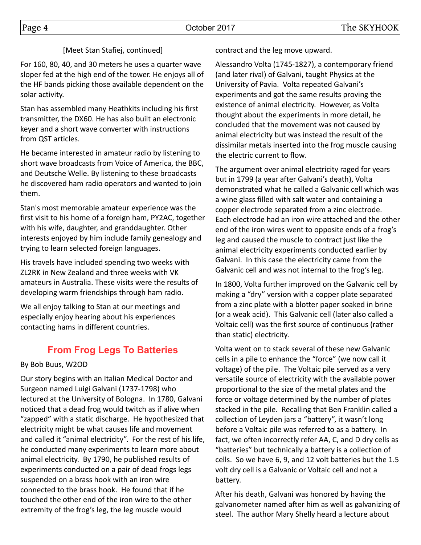#### [Meet Stan Stafiej, continued]

For 160, 80, 40, and 30 meters he uses a quarter wave sloper fed at the high end of the tower. He enjoys all of the HF bands picking those available dependent on the solar activity.

Stan has assembled many Heathkits including his first transmitter, the DX60. He has also built an electronic keyer and a short wave converter with instructions from QST articles.

He became interested in amateur radio by listening to short wave broadcasts from Voice of America, the BBC, and Deutsche Welle. By listening to these broadcasts he discovered ham radio operators and wanted to join them.

Stan's most memorable amateur experience was the first visit to his home of a foreign ham, PY2AC, together with his wife, daughter, and granddaughter. Other interests enjoyed by him include family genealogy and trying to learn selected foreign languages.

His travels have included spending two weeks with ZL2RK in New Zealand and three weeks with VK amateurs in Australia. These visits were the results of developing warm friendships through ham radio.

We all enjoy talking to Stan at our meetings and especially enjoy hearing about his experiences contacting hams in different countries.

# **From Frog Legs To Batteries**

#### By Bob Buus, W2OD

Our story begins with an Italian Medical Doctor and Surgeon named Luigi Galvani (1737-1798) who lectured at the University of Bologna. In 1780, Galvani noticed that a dead frog would twitch as if alive when "zapped" with a static discharge. He hypothesized that electricity might be what causes life and movement and called it "animal electricity". For the rest of his life, he conducted many experiments to learn more about animal electricity. By 1790, he published results of experiments conducted on a pair of dead frogs legs suspended on a brass hook with an iron wire connected to the brass hook. He found that if he touched the other end of the iron wire to the other extremity of the frog's leg, the leg muscle would

contract and the leg move upward.

Alessandro Volta (1745-1827), a contemporary friend (and later rival) of Galvani, taught Physics at the University of Pavia. Volta repeated Galvani's experiments and got the same results proving the existence of animal electricity. However, as Volta thought about the experiments in more detail, he concluded that the movement was not caused by animal electricity but was instead the result of the dissimilar metals inserted into the frog muscle causing the electric current to flow.

The argument over animal electricity raged for years but in 1799 (a year after Galvani's death), Volta demonstrated what he called a Galvanic cell which was a wine glass filled with salt water and containing a copper electrode separated from a zinc electrode. Each electrode had an iron wire attached and the other end of the iron wires went to opposite ends of a frog's leg and caused the muscle to contract just like the animal electricity experiments conducted earlier by Galvani. In this case the electricity came from the Galvanic cell and was not internal to the frog's leg.

In 1800, Volta further improved on the Galvanic cell by making a "dry" version with a copper plate separated from a zinc plate with a blotter paper soaked in brine (or a weak acid). This Galvanic cell (later also called a Voltaic cell) was the first source of continuous (rather than static) electricity.

Volta went on to stack several of these new Galvanic cells in a pile to enhance the "force" (we now call it voltage) of the pile. The Voltaic pile served as a very versatile source of electricity with the available power proportional to the size of the metal plates and the force or voltage determined by the number of plates stacked in the pile. Recalling that Ben Franklin called a collection of Leyden jars a "battery", it wasn't long before a Voltaic pile was referred to as a battery. In fact, we often incorrectly refer AA, C, and D dry cells as "batteries" but technically a battery is a collection of cells. So we have 6, 9, and 12 volt batteries but the 1.5 volt dry cell is a Galvanic or Voltaic cell and not a battery.

After his death, Galvani was honored by having the galvanometer named after him as well as galvanizing of steel. The author Mary Shelly heard a lecture about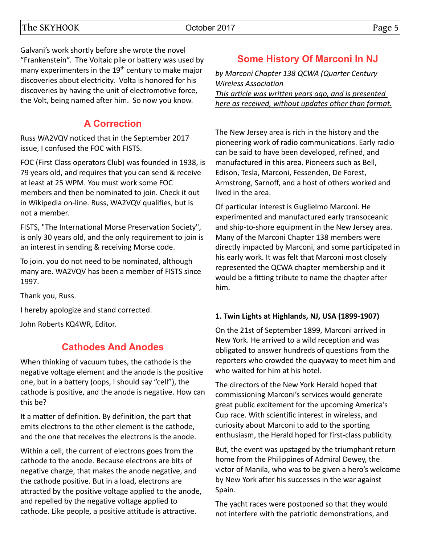Galvani's work shortly before she wrote the novel "Frankenstein". The Voltaic pile or battery was used by many experimenters in the  $19<sup>th</sup>$  century to make major discoveries about electricity. Volta is honored for his discoveries by having the unit of electromotive force, the Volt, being named after him. So now you know.

# **A Correction**

Russ WA2VQV noticed that in the September 2017 issue, I confused the FOC with FISTS.

FOC (First Class operators Club) was founded in 1938, is 79 years old, and requires that you can send & receive at least at 25 WPM. You must work some FOC members and then be nominated to join. Check it out in Wikipedia on-line. Russ, WA2VQV qualifies, but is not a member.

FISTS, "The International Morse Preservation Society", is only 30 years old, and the only requirement to join is an interest in sending & receiving Morse code.

To join. you do not need to be nominated, although many are. WA2VQV has been a member of FISTS since 1997.

Thank you, Russ.

I hereby apologize and stand corrected.

John Roberts KQ4WR, Editor.

# **Cathodes And Anodes**

When thinking of vacuum tubes, the cathode is the negative voltage element and the anode is the positive one, but in a battery (oops, I should say "cell"), the cathode is positive, and the anode is negative. How can this be?

It a matter of definition. By definition, the part that emits electrons to the other element is the cathode, and the one that receives the electrons is the anode.

Within a cell, the current of electrons goes from the cathode to the anode. Because electrons are bits of negative charge, that makes the anode negative, and the cathode positive. But in a load, electrons are attracted by the positive voltage applied to the anode, and repelled by the negative voltage applied to cathode. Like people, a positive attitude is attractive.

# **Some History Of Marconi In NJ**

*by Marconi Chapter 138 QCWA (Quarter Century Wireless Association*

*This article was written years ago, and is presented here as received, without updates other than format.*

The New Jersey area is rich in the history and the pioneering work of radio communications. Early radio can be said to have been developed, refined, and manufactured in this area. Pioneers such as Bell, Edison, Tesla, Marconi, Fessenden, De Forest, Armstrong, Sarnoff, and a host of others worked and lived in the area.

Of particular interest is Guglielmo Marconi. He experimented and manufactured early transoceanic and ship-to-shore equipment in the New Jersey area. Many of the Marconi Chapter 138 members were directly impacted by Marconi, and some participated in his early work. It was felt that Marconi most closely represented the QCWA chapter membership and it would be a fitting tribute to name the chapter after him.

### **1. Twin Lights at Highlands, NJ, USA (1899-1907)**

On the 21st of September 1899, Marconi arrived in New York. He arrived to a wild reception and was obligated to answer hundreds of questions from the reporters who crowded the quayway to meet him and who waited for him at his hotel.

The directors of the New York Herald hoped that commissioning Marconi's services would generate great public excitement for the upcoming America's Cup race. With scientific interest in wireless, and curiosity about Marconi to add to the sporting enthusiasm, the Herald hoped for first-class publicity.

But, the event was upstaged by the triumphant return home from the Philippines of Admiral Dewey, the victor of Manila, who was to be given a hero's welcome by New York after his successes in the war against Spain.

The yacht races were postponed so that they would not interfere with the patriotic demonstrations, and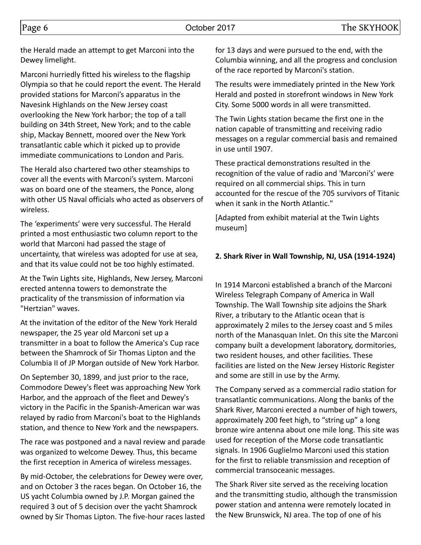the Herald made an attempt to get Marconi into the Dewey limelight.

Marconi hurriedly fitted his wireless to the flagship Olympia so that he could report the event. The Herald provided stations for Marconi's apparatus in the Navesink Highlands on the New Jersey coast overlooking the New York harbor; the top of a tall building on 34th Street, New York; and to the cable ship, Mackay Bennett, moored over the New York transatlantic cable which it picked up to provide immediate communications to London and Paris.

The Herald also chartered two other steamships to cover all the events with Marconi's system. Marconi was on board one of the steamers, the Ponce, along with other US Naval officials who acted as observers of wireless.

The 'experiments' were very successful. The Herald printed a most enthusiastic two column report to the world that Marconi had passed the stage of uncertainty, that wireless was adopted for use at sea, and that its value could not be too highly estimated.

At the Twin Lights site, Highlands, New Jersey, Marconi erected antenna towers to demonstrate the practicality of the transmission of information via "Hertzian" waves.

At the invitation of the editor of the New York Herald newspaper, the 25 year old Marconi set up a transmitter in a boat to follow the America's Cup race between the Shamrock of Sir Thomas Lipton and the Columbia II of JP Morgan outside of New York Harbor.

On September 30, 1899, and just prior to the race, Commodore Dewey's fleet was approaching New York Harbor, and the approach of the fleet and Dewey's victory in the Pacific in the Spanish-American war was relayed by radio from Marconi's boat to the Highlands station, and thence to New York and the newspapers.

The race was postponed and a naval review and parade was organized to welcome Dewey. Thus, this became the first reception in America of wireless messages.

By mid-October, the celebrations for Dewey were over, and on October 3 the races began. On October 16, the US yacht Columbia owned by J.P. Morgan gained the required 3 out of 5 decision over the yacht Shamrock owned by Sir Thomas Lipton. The five-hour races lasted for 13 days and were pursued to the end, with the Columbia winning, and all the progress and conclusion of the race reported by Marconi's station.

The results were immediately printed in the New York Herald and posted in storefront windows in New York City. Some 5000 words in all were transmitted.

The Twin Lights station became the first one in the nation capable of transmitting and receiving radio messages on a regular commercial basis and remained in use until 1907.

These practical demonstrations resulted in the recognition of the value of radio and 'Marconi's' were required on all commercial ships. This in turn accounted for the rescue of the 705 survivors of Titanic when it sank in the North Atlantic."

[Adapted from exhibit material at the Twin Lights museum]

#### **2. Shark River in Wall Township, NJ, USA (1914-1924)**

In 1914 Marconi established a branch of the Marconi Wireless Telegraph Company of America in Wall Township. The Wall Township site adjoins the Shark River, a tributary to the Atlantic ocean that is approximately 2 miles to the Jersey coast and 5 miles north of the Manasquan Inlet. On this site the Marconi company built a development laboratory, dormitories, two resident houses, and other facilities. These facilities are listed on the New Jersey Historic Register and some are still in use by the Army.

The Company served as a commercial radio station for transatlantic communications. Along the banks of the Shark River, Marconi erected a number of high towers, approximately 200 feet high, to "string up" a long bronze wire antenna about one mile long. This site was used for reception of the Morse code transatlantic signals. In 1906 Guglielmo Marconi used this station for the first to reliable transmission and reception of commercial transoceanic messages.

The Shark River site served as the receiving location and the transmitting studio, although the transmission power station and antenna were remotely located in the New Brunswick, NJ area. The top of one of his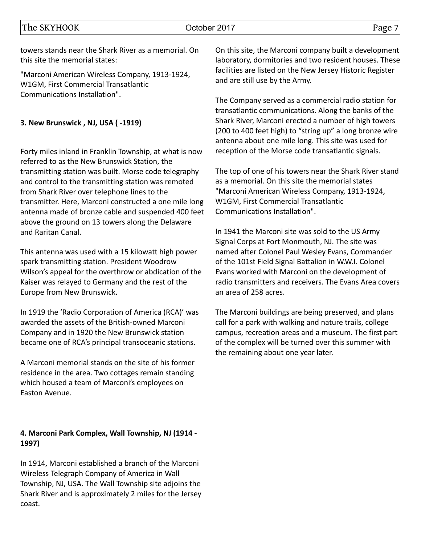towers stands near the Shark River as a memorial. On this site the memorial states:

"Marconi American Wireless Company, 1913-1924, W1GM, First Commercial Transatlantic Communications Installation".

#### **3. New Brunswick , NJ, USA ( -1919)**

Forty miles inland in Franklin Township, at what is now referred to as the New Brunswick Station, the transmitting station was built. Morse code telegraphy and control to the transmitting station was remoted from Shark River over telephone lines to the transmitter. Here, Marconi constructed a one mile long antenna made of bronze cable and suspended 400 feet above the ground on 13 towers along the Delaware and Raritan Canal.

This antenna was used with a 15 kilowatt high power spark transmitting station. President Woodrow Wilson's appeal for the overthrow or abdication of the Kaiser was relayed to Germany and the rest of the Europe from New Brunswick.

In 1919 the 'Radio Corporation of America (RCA)' was awarded the assets of the British-owned Marconi Company and in 1920 the New Brunswick station became one of RCA's principal transoceanic stations.

A Marconi memorial stands on the site of his former residence in the area. Two cottages remain standing which housed a team of Marconi's employees on Easton Avenue.

#### **4. Marconi Park Complex, Wall Township, NJ (1914 - 1997)**

In 1914, Marconi established a branch of the Marconi Wireless Telegraph Company of America in Wall Township, NJ, USA. The Wall Township site adjoins the Shark River and is approximately 2 miles for the Jersey coast.

On this site, the Marconi company built a development laboratory, dormitories and two resident houses. These facilities are listed on the New Jersey Historic Register and are still use by the Army.

The Company served as a commercial radio station for transatlantic communications. Along the banks of the Shark River, Marconi erected a number of high towers (200 to 400 feet high) to "string up" a long bronze wire antenna about one mile long. This site was used for reception of the Morse code transatlantic signals.

The top of one of his towers near the Shark River stand as a memorial. On this site the memorial states "Marconi American Wireless Company, 1913-1924, W1GM, First Commercial Transatlantic Communications Installation".

In 1941 the Marconi site was sold to the US Army Signal Corps at Fort Monmouth, NJ. The site was named after Colonel Paul Wesley Evans, Commander of the 101st Field Signal Battalion in W.W.I. Colonel Evans worked with Marconi on the development of radio transmitters and receivers. The Evans Area covers an area of 258 acres.

The Marconi buildings are being preserved, and plans call for a park with walking and nature trails, college campus, recreation areas and a museum. The first part of the complex will be turned over this summer with the remaining about one year later.